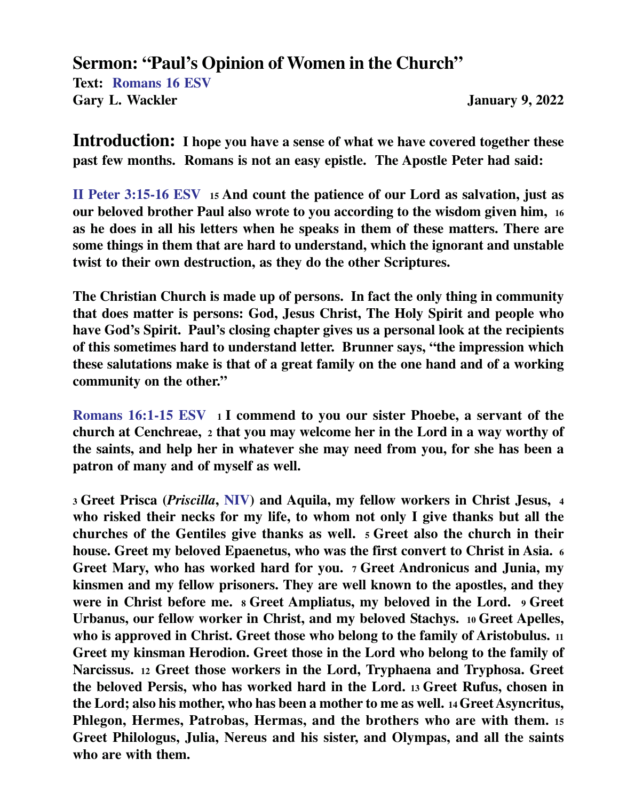# **Sermon: "Paul's Opinion of Women in the Church"**

**Text: Romans 16 ESV** Gary L. Wackler **January 9, 2022** 

**Introduction: I hope you have a sense of what we have covered together these past few months. Romans is not an easy epistle. The Apostle Peter had said:**

**II Peter 3:15-16 ESV 15 And count the patience of our Lord as salvation, just as our beloved brother Paul also wrote to you according to the wisdom given him, <sup>16</sup> as he does in all his letters when he speaks in them of these matters. There are some things in them that are hard to understand, which the ignorant and unstable twist to their own destruction, as they do the other Scriptures.**

**The Christian Church is made up of persons. In fact the only thing in community that does matter is persons: God, Jesus Christ, The Holy Spirit and people who have God's Spirit. Paul's closing chapter gives us a personal look at the recipients of this sometimes hard to understand letter. Brunner says, "the impression which these salutations make is that of a great family on the one hand and of a working community on the other."**

**Romans 16:1-15 ESV 1 I commend to you our sister Phoebe, a servant of the church at Cenchreae, 2 that you may welcome her in the Lord in a way worthy of the saints, and help her in whatever she may need from you, for she has been a patron of many and of myself as well.**

**<sup>3</sup>Greet Prisca (***Priscilla***, NIV) and Aquila, my fellow workers in Christ Jesus, <sup>4</sup> who risked their necks for my life, to whom not only I give thanks but all the churches of the Gentiles give thanks as well. 5 Greet also the church in their house. Greet my beloved Epaenetus, who was the first convert to Christ in Asia. <sup>6</sup> Greet Mary, who has worked hard for you. 7 Greet Andronicus and Junia, my kinsmen and my fellow prisoners. They are well known to the apostles, and they were in Christ before me. 8 Greet Ampliatus, my beloved in the Lord. 9 Greet Urbanus, our fellow worker in Christ, and my beloved Stachys. 10 Greet Apelles, who is approved in Christ. Greet those who belong to the family of Aristobulus.<sup>11</sup> Greet my kinsman Herodion. Greet those in the Lord who belong to the family of Narcissus. 12 Greet those workers in the Lord, Tryphaena and Tryphosa. Greet the beloved Persis, who has worked hard in the Lord. 13 Greet Rufus, chosen in the Lord; also his mother, who has been a mother to me as well. 14 Greet Asyncritus, Phlegon, Hermes, Patrobas, Hermas, and the brothers who are with them. <sup>15</sup> Greet Philologus, Julia, Nereus and his sister, and Olympas, and all the saints who are with them.**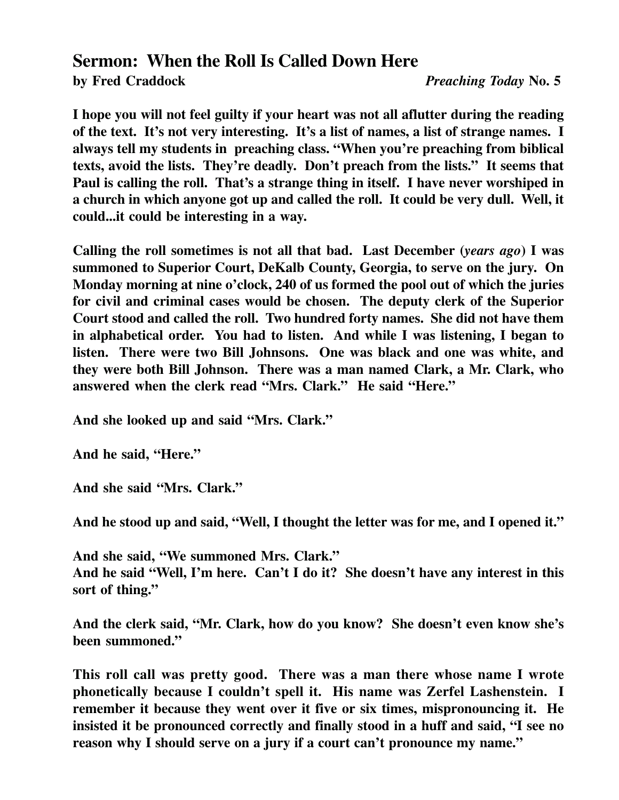## **Sermon: When the Roll Is Called Down Here**

**by Fred Craddock** *Preaching Today* **No. 5**

**I hope you will not feel guilty if your heart was not all aflutter during the reading of the text. It's not very interesting. It's a list of names, a list of strange names. I always tell my students in preaching class. "When you're preaching from biblical texts, avoid the lists. They're deadly. Don't preach from the lists." It seems that Paul is calling the roll. That's a strange thing in itself. I have never worshiped in a church in which anyone got up and called the roll. It could be very dull. Well, it could...it could be interesting in a way.**

**Calling the roll sometimes is not all that bad. Last December (***years ago***) I was summoned to Superior Court, DeKalb County, Georgia, to serve on the jury. On Monday morning at nine o'clock, 240 of us formed the pool out of which the juries for civil and criminal cases would be chosen. The deputy clerk of the Superior Court stood and called the roll. Two hundred forty names. She did not have them in alphabetical order. You had to listen. And while I was listening, I began to listen. There were two Bill Johnsons. One was black and one was white, and they were both Bill Johnson. There was a man named Clark, a Mr. Clark, who answered when the clerk read "Mrs. Clark." He said "Here."**

**And she looked up and said "Mrs. Clark."**

**And he said, "Here."**

**And she said "Mrs. Clark."**

**And he stood up and said, "Well, I thought the letter was for me, and I opened it."**

**And she said, "We summoned Mrs. Clark." And he said "Well, I'm here. Can't I do it? She doesn't have any interest in this sort of thing."**

**And the clerk said, "Mr. Clark, how do you know? She doesn't even know she's been summoned."**

**This roll call was pretty good. There was a man there whose name I wrote phonetically because I couldn't spell it. His name was Zerfel Lashenstein. I remember it because they went over it five or six times, mispronouncing it. He insisted it be pronounced correctly and finally stood in a huff and said, "I see no reason why I should serve on a jury if a court can't pronounce my name."**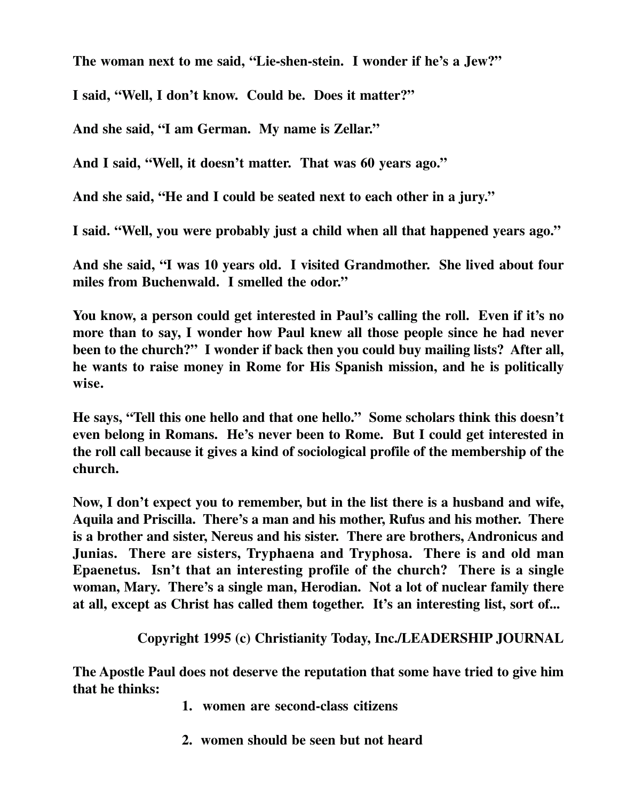**The woman next to me said, "Lie-shen-stein. I wonder if he's a Jew?"**

**I said, "Well, I don't know. Could be. Does it matter?"**

**And she said, "I am German. My name is Zellar."**

**And I said, "Well, it doesn't matter. That was 60 years ago."**

**And she said, "He and I could be seated next to each other in a jury."**

**I said. "Well, you were probably just a child when all that happened years ago."**

**And she said, "I was 10 years old. I visited Grandmother. She lived about four miles from Buchenwald. I smelled the odor."**

**You know, a person could get interested in Paul's calling the roll. Even if it's no more than to say, I wonder how Paul knew all those people since he had never been to the church?" I wonder if back then you could buy mailing lists? After all, he wants to raise money in Rome for His Spanish mission, and he is politically wise.**

**He says, "Tell this one hello and that one hello." Some scholars think this doesn't even belong in Romans. He's never been to Rome. But I could get interested in the roll call because it gives a kind of sociological profile of the membership of the church.**

**Now, I don't expect you to remember, but in the list there is a husband and wife, Aquila and Priscilla. There's a man and his mother, Rufus and his mother. There is a brother and sister, Nereus and his sister. There are brothers, Andronicus and Junias. There are sisters, Tryphaena and Tryphosa. There is and old man Epaenetus. Isn't that an interesting profile of the church? There is a single woman, Mary. There's a single man, Herodian. Not a lot of nuclear family there at all, except as Christ has called them together. It's an interesting list, sort of...**

 **Copyright 1995 (c) Christianity Today, Inc./LEADERSHIP JOURNAL**

**The Apostle Paul does not deserve the reputation that some have tried to give him that he thinks:**

- **1. women are second-class citizens**
- **2. women should be seen but not heard**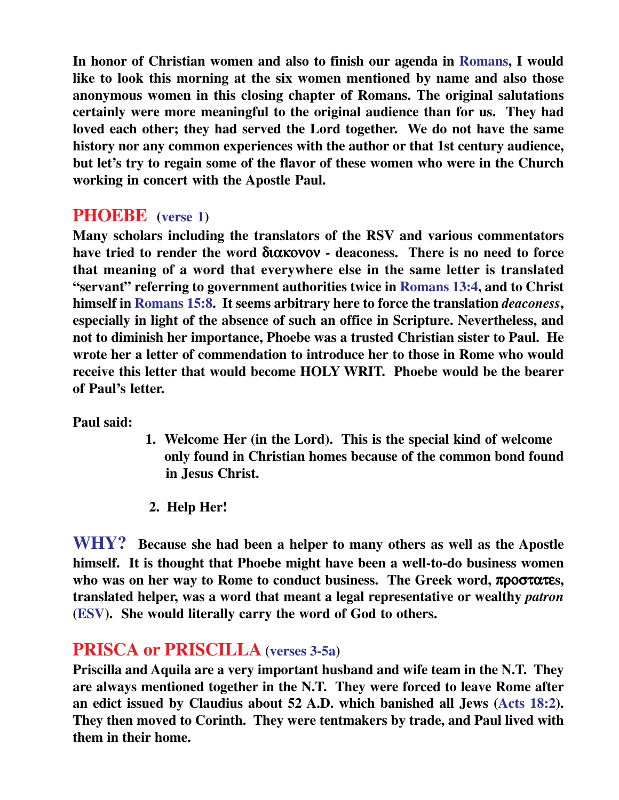**In honor of Christian women and also to finish our agenda in Romans, I would like to look this morning at the six women mentioned by name and also those anonymous women in this closing chapter of Romans. The original salutations certainly were more meaningful to the original audience than for us. They had loved each other; they had served the Lord together. We do not have the same history nor any common experiences with the author or that 1st century audience, but let's try to regain some of the flavor of these women who were in the Church working in concert with the Apostle Paul.**

#### **PHOEBE (verse 1)**

**Many scholars including the translators of the RSV and various commentators have tried to render the word** διακονον **- deaconess. There is no need to force that meaning of a word that everywhere else in the same letter is translated "servant" referring to government authorities twice in Romans 13:4, and to Christ himself in Romans 15:8. It seems arbitrary here to force the translation** *deaconess***, especially in light of the absence of such an office in Scripture. Nevertheless, and not to diminish her importance, Phoebe was a trusted Christian sister to Paul. He wrote her a letter of commendation to introduce her to those in Rome who would receive this letter that would become HOLY WRIT. Phoebe would be the bearer of Paul's letter.**

**Paul said:**

- **1. Welcome Her (in the Lord). This is the special kind of welcome only found in Christian homes because of the common bond found in Jesus Christ.**
	- **2. Help Her!**

**WHY? Because she had been a helper to many others as well as the Apostle himself. It is thought that Phoebe might have been a well-to-do business women who was on her way to Rome to conduct business. The Greek word,** προστατε**s, translated helper, was a word that meant a legal representative or wealthy** *patron* **(ESV). She would literally carry the word of God to others.**

## **PRISCA or PRISCILLA (verses 3-5a)**

**Priscilla and Aquila are a very important husband and wife team in the N.T. They are always mentioned together in the N.T. They were forced to leave Rome after an edict issued by Claudius about 52 A.D. which banished all Jews (Acts 18:2). They then moved to Corinth. They were tentmakers by trade, and Paul lived with them in their home.**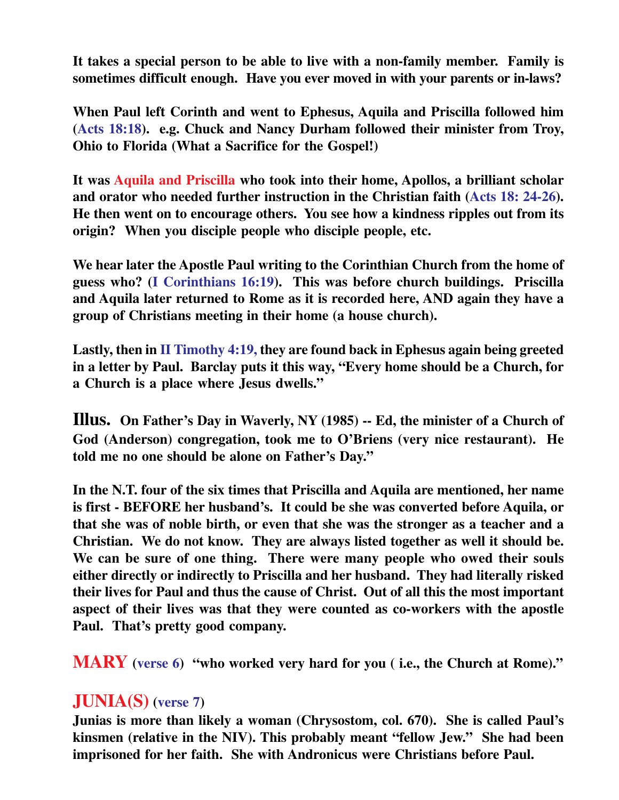**It takes a special person to be able to live with a non-family member. Family is sometimes difficult enough. Have you ever moved in with your parents or in-laws?**

**When Paul left Corinth and went to Ephesus, Aquila and Priscilla followed him (Acts 18:18). e.g. Chuck and Nancy Durham followed their minister from Troy, Ohio to Florida (What a Sacrifice for the Gospel!)**

**It was Aquila and Priscilla who took into their home, Apollos, a brilliant scholar and orator who needed further instruction in the Christian faith (Acts 18: 24-26). He then went on to encourage others. You see how a kindness ripples out from its origin? When you disciple people who disciple people, etc.**

**We hear later the Apostle Paul writing to the Corinthian Church from the home of guess who? (I Corinthians 16:19). This was before church buildings. Priscilla and Aquila later returned to Rome as it is recorded here, AND again they have a group of Christians meeting in their home (a house church).**

**Lastly, then in II Timothy 4:19, they are found back in Ephesus again being greeted in a letter by Paul. Barclay puts it this way, "Every home should be a Church, for a Church is a place where Jesus dwells."**

**Illus. On Father's Day in Waverly, NY (1985) -- Ed, the minister of a Church of God (Anderson) congregation, took me to O'Briens (very nice restaurant). He told me no one should be alone on Father's Day."**

**In the N.T. four of the six times that Priscilla and Aquila are mentioned, her name is first - BEFORE her husband's. It could be she was converted before Aquila, or that she was of noble birth, or even that she was the stronger as a teacher and a Christian. We do not know. They are always listed together as well it should be. We can be sure of one thing. There were many people who owed their souls either directly or indirectly to Priscilla and her husband. They had literally risked their lives for Paul and thus the cause of Christ. Out of all this the most important aspect of their lives was that they were counted as co-workers with the apostle Paul. That's pretty good company.**

**MARY (verse 6) "who worked very hard for you ( i.e., the Church at Rome)."**

#### **JUNIA(S) (verse 7)**

**Junias is more than likely a woman (Chrysostom, col. 670). She is called Paul's kinsmen (relative in the NIV). This probably meant "fellow Jew." She had been imprisoned for her faith. She with Andronicus were Christians before Paul.**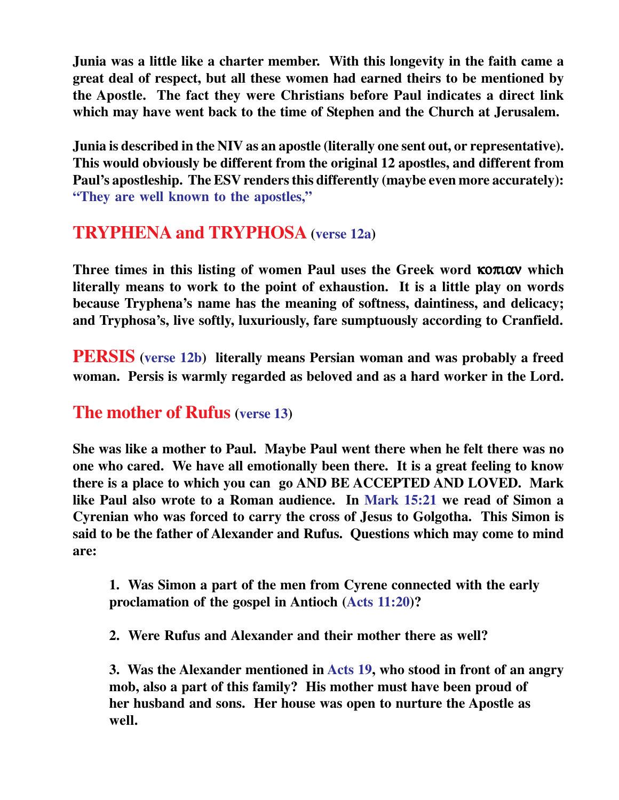**Junia was a little like a charter member. With this longevity in the faith came a great deal of respect, but all these women had earned theirs to be mentioned by the Apostle. The fact they were Christians before Paul indicates a direct link which may have went back to the time of Stephen and the Church at Jerusalem.**

**Junia is described in the NIV as an apostle (literally one sent out, or representative). This would obviously be different from the original 12 apostles, and different from Paul's apostleship. The ESV renders this differently (maybe even more accurately): "They are well known to the apostles,"**

# **TRYPHENA and TRYPHOSA (verse 12a)**

**Three times in this listing of women Paul uses the Greek word** κοπιαν **which literally means to work to the point of exhaustion. It is a little play on words because Tryphena's name has the meaning of softness, daintiness, and delicacy; and Tryphosa's, live softly, luxuriously, fare sumptuously according to Cranfield.**

**PERSIS (verse 12b) literally means Persian woman and was probably a freed woman. Persis is warmly regarded as beloved and as a hard worker in the Lord.**

**The mother of Rufus (verse 13)**

**She was like a mother to Paul. Maybe Paul went there when he felt there was no one who cared. We have all emotionally been there. It is a great feeling to know there is a place to which you can go AND BE ACCEPTED AND LOVED. Mark like Paul also wrote to a Roman audience. In Mark 15:21 we read of Simon a Cyrenian who was forced to carry the cross of Jesus to Golgotha. This Simon is said to be the father of Alexander and Rufus. Questions which may come to mind are:**

**1. Was Simon a part of the men from Cyrene connected with the early proclamation of the gospel in Antioch (Acts 11:20)?**

**2. Were Rufus and Alexander and their mother there as well?**

**3. Was the Alexander mentioned in Acts 19, who stood in front of an angry mob, also a part of this family? His mother must have been proud of her husband and sons. Her house was open to nurture the Apostle as well.**